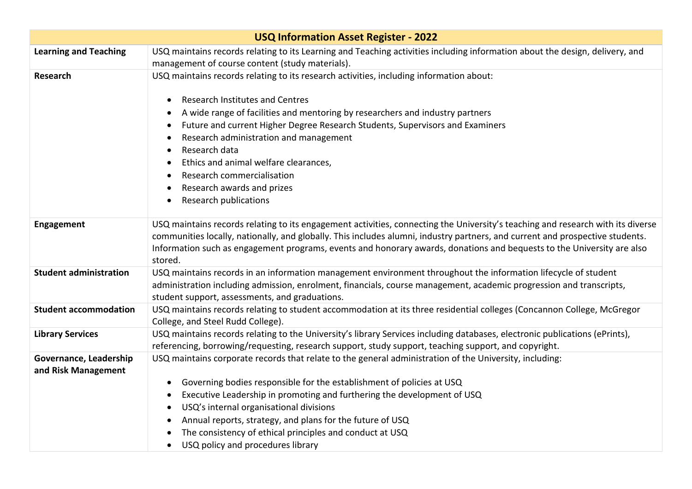| <b>USQ Information Asset Register - 2022</b>  |                                                                                                                                                                                                                                                                                                                                                                                                                                                                                                |  |
|-----------------------------------------------|------------------------------------------------------------------------------------------------------------------------------------------------------------------------------------------------------------------------------------------------------------------------------------------------------------------------------------------------------------------------------------------------------------------------------------------------------------------------------------------------|--|
| <b>Learning and Teaching</b>                  | USQ maintains records relating to its Learning and Teaching activities including information about the design, delivery, and                                                                                                                                                                                                                                                                                                                                                                   |  |
|                                               | management of course content (study materials).                                                                                                                                                                                                                                                                                                                                                                                                                                                |  |
| <b>Research</b>                               | USQ maintains records relating to its research activities, including information about:                                                                                                                                                                                                                                                                                                                                                                                                        |  |
|                                               | <b>Research Institutes and Centres</b><br>$\bullet$<br>A wide range of facilities and mentoring by researchers and industry partners<br>Future and current Higher Degree Research Students, Supervisors and Examiners<br>Research administration and management<br>Research data<br>Ethics and animal welfare clearances,<br>Research commercialisation<br>Research awards and prizes<br>Research publications                                                                                 |  |
|                                               |                                                                                                                                                                                                                                                                                                                                                                                                                                                                                                |  |
| <b>Engagement</b>                             | USQ maintains records relating to its engagement activities, connecting the University's teaching and research with its diverse<br>communities locally, nationally, and globally. This includes alumni, industry partners, and current and prospective students.<br>Information such as engagement programs, events and honorary awards, donations and bequests to the University are also<br>stored.                                                                                          |  |
| <b>Student administration</b>                 | USQ maintains records in an information management environment throughout the information lifecycle of student<br>administration including admission, enrolment, financials, course management, academic progression and transcripts,<br>student support, assessments, and graduations.                                                                                                                                                                                                        |  |
| <b>Student accommodation</b>                  | USQ maintains records relating to student accommodation at its three residential colleges (Concannon College, McGregor<br>College, and Steel Rudd College).                                                                                                                                                                                                                                                                                                                                    |  |
| <b>Library Services</b>                       | USQ maintains records relating to the University's library Services including databases, electronic publications (ePrints),<br>referencing, borrowing/requesting, research support, study support, teaching support, and copyright.                                                                                                                                                                                                                                                            |  |
| Governance, Leadership<br>and Risk Management | USQ maintains corporate records that relate to the general administration of the University, including:<br>Governing bodies responsible for the establishment of policies at USQ<br>$\bullet$<br>Executive Leadership in promoting and furthering the development of USQ<br>USQ's internal organisational divisions<br>Annual reports, strategy, and plans for the future of USQ<br>The consistency of ethical principles and conduct at USQ<br>USQ policy and procedures library<br>$\bullet$ |  |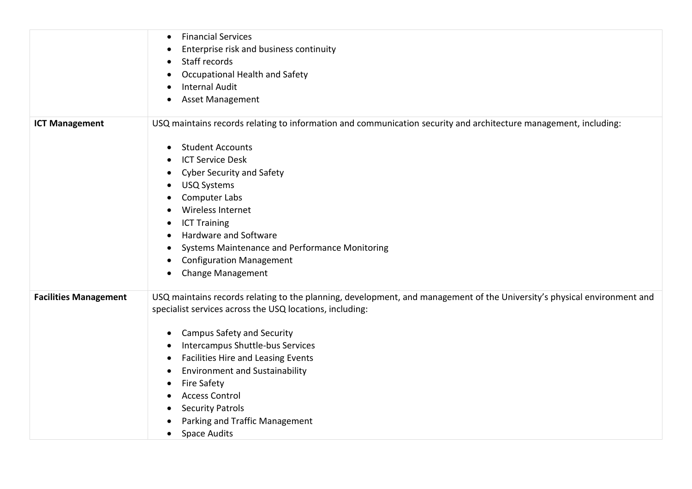|                              | <b>Financial Services</b><br>$\bullet$                                                                                                                                               |
|------------------------------|--------------------------------------------------------------------------------------------------------------------------------------------------------------------------------------|
|                              | Enterprise risk and business continuity                                                                                                                                              |
|                              | Staff records<br>$\bullet$                                                                                                                                                           |
|                              | Occupational Health and Safety                                                                                                                                                       |
|                              | <b>Internal Audit</b><br>$\bullet$                                                                                                                                                   |
|                              | <b>Asset Management</b><br>$\bullet$                                                                                                                                                 |
| <b>ICT Management</b>        | USQ maintains records relating to information and communication security and architecture management, including:                                                                     |
|                              | <b>Student Accounts</b><br>$\bullet$                                                                                                                                                 |
|                              | <b>ICT Service Desk</b><br>$\bullet$                                                                                                                                                 |
|                              | <b>Cyber Security and Safety</b><br>$\bullet$                                                                                                                                        |
|                              | <b>USQ Systems</b><br>$\bullet$                                                                                                                                                      |
|                              | Computer Labs                                                                                                                                                                        |
|                              | Wireless Internet<br>$\bullet$                                                                                                                                                       |
|                              | <b>ICT Training</b>                                                                                                                                                                  |
|                              | Hardware and Software                                                                                                                                                                |
|                              | Systems Maintenance and Performance Monitoring<br>$\bullet$                                                                                                                          |
|                              | <b>Configuration Management</b><br>$\bullet$                                                                                                                                         |
|                              | <b>Change Management</b><br>$\bullet$                                                                                                                                                |
| <b>Facilities Management</b> | USQ maintains records relating to the planning, development, and management of the University's physical environment and<br>specialist services across the USQ locations, including: |
|                              | <b>Campus Safety and Security</b><br>$\bullet$                                                                                                                                       |
|                              | Intercampus Shuttle-bus Services<br>$\bullet$                                                                                                                                        |
|                              | <b>Facilities Hire and Leasing Events</b><br>$\bullet$                                                                                                                               |
|                              | <b>Environment and Sustainability</b><br>$\bullet$                                                                                                                                   |
|                              | <b>Fire Safety</b><br>$\bullet$                                                                                                                                                      |
|                              | <b>Access Control</b><br>$\bullet$                                                                                                                                                   |
|                              | <b>Security Patrols</b>                                                                                                                                                              |
|                              | Parking and Traffic Management                                                                                                                                                       |
|                              | <b>Space Audits</b><br>$\bullet$                                                                                                                                                     |
|                              |                                                                                                                                                                                      |